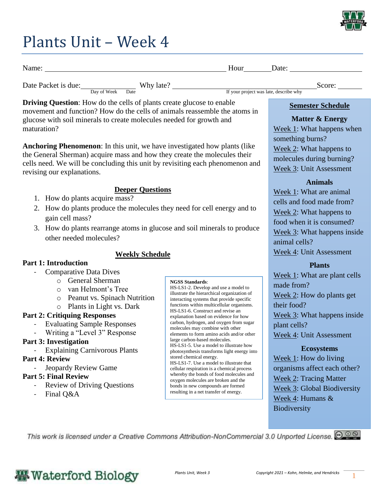

### Plants Unit – Week 4

| Name:               |             |      |           | Hour<br>Date:                          |        |  |
|---------------------|-------------|------|-----------|----------------------------------------|--------|--|
| Date Packet is due: | Day of Week | Date | Why late? | If your project was late, describe why | Score: |  |

**Driving Question**: How do the cells of plants create glucose to enable movement and function? How do the cells of animals reassemble the atoms in glucose with soil minerals to create molecules needed for growth and maturation?

**Anchoring Phenomenon**: In this unit, we have investigated how plants (like the General Sherman) acquire mass and how they create the molecules their cells need. We will be concluding this unit by revisiting each phenomenon and revising our explanations.

#### **Deeper Questions**

- 1. How do plants acquire mass?
- 2. How do plants produce the molecules they need for cell energy and to gain cell mass?
- 3. How do plants rearrange atoms in glucose and soil minerals to produce other needed molecules?

#### **Weekly Schedule**

- **Part 1: Introduction** - Comparative Data Dives
	- o General Sherman
		- o van Helmont's Tree
		- o Peanut vs. Spinach Nutrition
		- o Plants in Light vs. Dark

#### **Part 2: Critiquing Responses**

- Evaluating Sample Responses
- Writing a "Level 3" Response

#### **Part 3: Investigation**

- Explaining Carnivorous Plants

#### **Part 4: Review**

- Jeopardy Review Game

#### **Part 5: Final Review**

- Review of Driving Questions
- Final Q&A

#### **NGSS Standards**:

HS-LS1-2. Develop and use a model to illustrate the hierarchical organization of interacting systems that provide specific functions within multicellular organisms. HS-LS1-6. Construct and revise an explanation based on evidence for how carbon, hydrogen, and oxygen from sugar molecules may combine with other elements to form amino acids and/or other large carbon-based molecules. HS-LS1-5. Use a model to illustrate how photosynthesis transforms light energy into stored chemical energy. HS-LS1-7. Use a model to illustrate that cellular respiration is a chemical process whereby the bonds of food molecules and oxygen molecules are broken and the bonds in new compounds are formed resulting in a net transfer of energy.

#### **Semester Schedule**

#### **Matter & Energy** Week 1: What happens when something burns? Week 2: What happens to molecules during burning? Week 3: Unit Assessment

#### **Animals**

Week 1: What are animal cells and food made from? Week 2: What happens to food when it is consumed? Week 3: What happens inside animal cells? Week 4: Unit Assessment

#### **Plants**

Week 1: What are plant cells made from? Week 2: How do plants get their food? Week 3: What happens inside plant cells? Week 4: Unit Assessment

#### **Ecosystems**

Week 1: How do living organisms affect each other? Week 2: Tracing Matter Week 3: Global Biodiversity Week 4: Humans & **Biodiversity** 

This work is licensed under a Creative Commons Attribution-NonCommercial 3.0 Unported License. @ 0 0

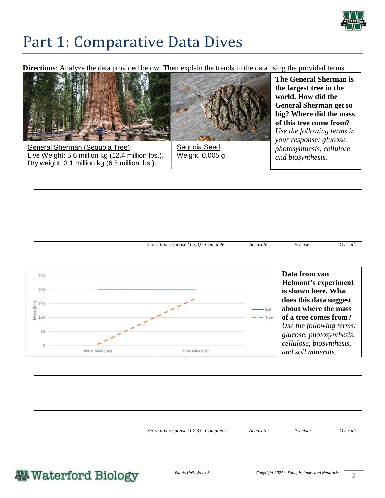

### Part 1: Comparative Data Dives

**Directions**: Analyze the data provided below. Then explain the trends in the data using the provided terms.



*Score this response (1,2,3) - Complete: Accurate: Precise: Overall:* 



*Score this response (1,2,3) - Complete: Accurate: Precise: Overall:* 

### **Waterford Biology**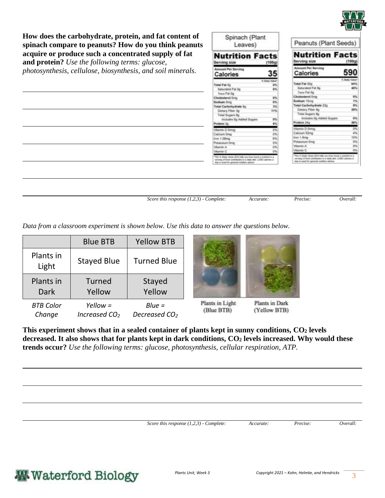

(100g)

590

Peanuts (Plant Seeds)

**Nutrition Facts** 

Calories

**How does the carbohydrate, protein, and fat content of spinach compare to peanuts? How do you think peanuts acquire or produce such a concentrated supply of fat** 

**and protein?** *Use the following terms: glucose, photosynthesis, cellulose, biosynthesis, and soil minerals.* 

| Total Fat 0g<br>from Fat 0g<br>Cholesterol Drig<br>Sodium (Im) | 5 Data Value"<br>45<br><b>ox</b><br>Saturated Fat 0g<br>-<br>0%<br>es.                                                                                                  | Total Fat 50g<br>Saturated Fat 8g<br>Trans Fat Op<br>Cholesterol Ong<br>Sodium 15mg                                                                                    | 64%<br>40%<br>es. |
|----------------------------------------------------------------|-------------------------------------------------------------------------------------------------------------------------------------------------------------------------|------------------------------------------------------------------------------------------------------------------------------------------------------------------------|-------------------|
|                                                                |                                                                                                                                                                         |                                                                                                                                                                        |                   |
|                                                                |                                                                                                                                                                         |                                                                                                                                                                        |                   |
|                                                                |                                                                                                                                                                         |                                                                                                                                                                        |                   |
|                                                                |                                                                                                                                                                         |                                                                                                                                                                        |                   |
|                                                                |                                                                                                                                                                         |                                                                                                                                                                        | 1%                |
|                                                                | 25<br>Total Carbohydrate fig.                                                                                                                                           | Total Carbohydrate 22p                                                                                                                                                 | 15                |
| Dietary Fiber 3g                                               | 115                                                                                                                                                                     | Dietary Fiber Bg                                                                                                                                                       | 29%               |
|                                                                | Total Sugers Dg                                                                                                                                                         | Total Sugars 9g                                                                                                                                                        |                   |
|                                                                | es.<br>Includes Bg Added Sugars                                                                                                                                         | Includes by Added Sugars                                                                                                                                               | 4%                |
| Protein 3p                                                     | es.                                                                                                                                                                     | <b>Protein 24g</b>                                                                                                                                                     | 48%               |
| Vitamin D Dresg                                                | 5%                                                                                                                                                                      | Vitamin D-Dmcg                                                                                                                                                         | 256               |
| Calcium Dreg                                                   | iri.                                                                                                                                                                    | Calcium 52mg                                                                                                                                                           | 4%                |
| losn 1.08mg                                                    | es.                                                                                                                                                                     | Iron 1.8mg                                                                                                                                                             | 10%               |
| Polassium Omg                                                  | $2\%$                                                                                                                                                                   | Potensium Smg                                                                                                                                                          | $\overline{v}$    |
| Witserle A                                                     | $q\eta$                                                                                                                                                                 | Vitamin A                                                                                                                                                              | os.               |
| Vitamin C                                                      | $\sigma$                                                                                                                                                                | Vitamin C                                                                                                                                                              | O%                |
|                                                                | "The % Daily Volum (DV) help you how much a subsert in a<br>serving of fixed contributes to a daily dist. 2,000 cultures a<br>dog to used for greenal nutrition adults: | "The 11 Daily Velox (DV) left you have much a nation in a<br>serving of fund contificator to a static dott. 2,000 colores a<br>day's used for peneral nutrition white. |                   |

*Score this response (1,2,3) - Complete: Accurate: Precise: Overall:* 

Spinach (Plant

Leaves)

**Nutrition Facts** 

35

ving size

Calories

*Data from a classroom experiment is shown below. Use this data to answer the questions below.* 

|                    | <b>Blue BTB</b>    | <b>Yellow BTB</b>  |                               |                                |
|--------------------|--------------------|--------------------|-------------------------------|--------------------------------|
| Plants in<br>Light | <b>Stayed Blue</b> | <b>Turned Blue</b> |                               |                                |
| Plants in          | Turned             | Stayed             |                               |                                |
| <b>Dark</b>        | Yellow             | Yellow             |                               |                                |
| <b>BTB Color</b>   | $Yellow =$         | $Blue =$           | Plants in Light<br>(Blue BTB) | Plants in Dark<br>(Yellow BTB) |

**This experiment shows that in a sealed container of plants kept in sunny conditions, CO<sup>2</sup> levels decreased. It also shows that for plants kept in dark conditions, CO<sup>2</sup> levels increased. Why would these trends occur?** *Use the following terms: glucose, photosynthesis, cellular respiration, ATP.* 

*Score this response (1,2,3) - Complete: Accurate: Precise: Overall:* 

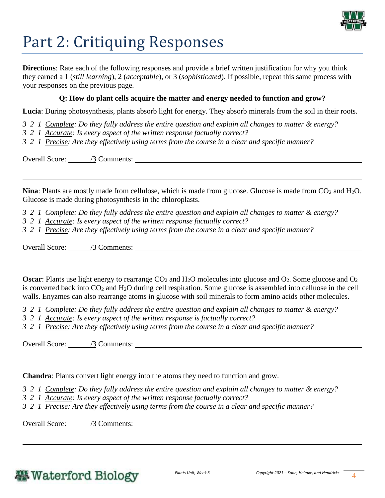

# Part 2: Critiquing Responses

**Directions**: Rate each of the following responses and provide a brief written justification for why you think they earned a 1 (*still learning*), 2 (*acceptable*), or 3 (*sophisticated*). If possible, repeat this same process with your responses on the previous page.

#### **Q: How do plant cells acquire the matter and energy needed to function and grow?**

**Lucia**: During photosynthesis, plants absorb light for energy. They absorb minerals from the soil in their roots.

- *3 2 1 Complete: Do they fully address the entire question and explain all changes to matter & energy?*
- *3 2 1 Accurate: Is every aspect of the written response factually correct?*
- *3 2 1 Precise: Are they effectively using terms from the course in a clear and specific manner?*

Overall Score: /3 Comments:

**Nina**: Plants are mostly made from cellulose, which is made from glucose. Glucose is made from  $CO<sub>2</sub>$  and  $H<sub>2</sub>O$ . Glucose is made during photosynthesis in the chloroplasts.

*3 2 1 Complete: Do they fully address the entire question and explain all changes to matter & energy?* 

*3 2 1 Accurate: Is every aspect of the written response factually correct?*

*3 2 1 Precise: Are they effectively using terms from the course in a clear and specific manner?* 

Overall Score: /3 Comments:

**Oscar**: Plants use light energy to rearrange  $CO_2$  and  $H_2O$  molecules into glucose and  $O_2$ . Some glucose and  $O_2$ is converted back into  $CO_2$  and  $H_2O$  during cell respiration. Some glucose is assembled into celluose in the cell walls. Enyzmes can also rearrange atoms in glucose with soil minerals to form amino acids other molecules.

*3 2 1 Complete: Do they fully address the entire question and explain all changes to matter & energy?* 

*3 2 1 Accurate: Is every aspect of the written response is factually correct?*

*3 2 1 Precise: Are they effectively using terms from the course in a clear and specific manner?* 

Overall Score: /3 Comments:

**Chandra**: Plants convert light energy into the atoms they need to function and grow.

*3 2 1 Complete: Do they fully address the entire question and explain all changes to matter & energy?* 

*3 2 1 Accurate: Is every aspect of the written response factually correct?*

*3 2 1 Precise: Are they effectively using terms from the course in a clear and specific manner?* 

Overall Score: /3 Comments: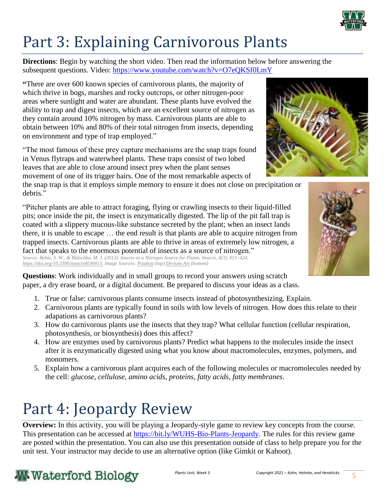

# Part 3: Explaining Carnivorous Plants

**Directions**: Begin by watching the short video. Then read the information below before answering the subsequent questions. Video:<https://www.youtube.com/watch?v=O7eQKSf0LmY>

**"**There are over 600 known species of carnivorous plants, the majority of which thrive in bogs, marshes and rocky outcrops, or other nitrogen-poor areas where sunlight and water are abundant. These plants have evolved the ability to trap and digest insects, which are an excellent source of nitrogen as they contain around 10% nitrogen by mass. Carnivorous plants are able to obtain between 10% and 80% of their total nitrogen from insects, depending on environment and type of trap employed."

"The most famous of these prey capture mechanisms are the snap traps found in Venus flytraps and waterwheel plants. These traps consist of two lobed leaves that are able to close around insect prey when the plant senses movement of one of its trigger hairs. One of the most remarkable aspects of

the snap trap is that it employs simple memory to ensure it does not close on precipitation or debris."

"Pitcher plants are able to attract foraging, flying or crawling insects to their liquid-filled pits; once inside the pit, the insect is enzymatically digested. The lip of the pit fall trap is coated with a slippery mucous-like substance secreted by the plant; when an insect lands there, it is unable to escape … the end result is that plants are able to acquire nitrogen from trapped insects. Carnivorous plants are able to thrive in areas of extremely low nitrogen, a fact that speaks to the enormous potential of insects as a source of nitrogen." *Source: Behie, S. W., & Bidochka, M. J. (2013). Insects as a Nitrogen Source for Plants. Insects, 4(3), 413–424. [https://doi.org/10.3390/insects4030413.](https://doi.org/10.3390/insects4030413) Image Sources[: Pixabay](https://pixabay.com/photos/venus-flytrap-trapped-fly-catch-2667991/?scrlybrkr=413d9e18) (top[\) Deviant Art](https://www.deviantart.com/cyclicalcore/art/Bumblebee-in-a-pitcher-plant-720260794?scrlybrkr=96ec019a) (bottom)*

**Questions**: Work individually and in small groups to record your answers using scratch paper, a dry erase board, or a digital document. Be prepared to discuss your ideas as a class.

- 1. True or false: carnivorous plants consume insects instead of photosynthesizing. Explain.
- 2. Carnivorous plants are typically found in soils with low levels of nitrogen. How does this relate to their adapations as carnivorous plants?
- 3. How do carnivorous plants use the insects that they trap? What cellular function (cellular respiration, photosynthesis, or biosynthesis) does this affect?
- 4. How are enzymes used by carnivorous plants? Predict what happens to the molecules inside the insect after it is enzymatically digested using what you know about macromolecules, enzymes, polymers, and monomers.
- 5. Explain how a carnivorous plant acquires each of the following molecules or macromolecules needed by the cell: *glucose, cellulose, amino acids, proteins, fatty acids, fatty membranes*.

# Part 4: Jeopardy Review

**Overview:** In this activity, you will be playing a Jeopardy-style game to review key concepts from the course. This presentation can be accessed at [https://bit.ly/WUHS-Bio-Plants-Jeopardy.](https://bit.ly/WUHS-Bio-Plants-Jeopardy) The rules for this review game are posted within the presentation. You can also use this presentation outside of class to help prepare you for the unit test. Your instructor may decide to use an alternative option (like Gimkit or Kahoot).